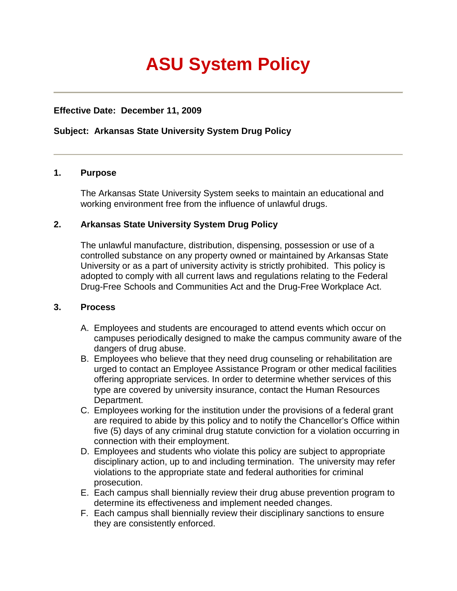# **ASU System Policy**

# **Effective Date: December 11, 2009**

# **Subject: Arkansas State University System Drug Policy**

#### **1. Purpose**

The Arkansas State University System seeks to maintain an educational and working environment free from the influence of unlawful drugs.

# **2. Arkansas State University System Drug Policy**

The unlawful manufacture, distribution, dispensing, possession or use of a controlled substance on any property owned or maintained by Arkansas State University or as a part of university activity is strictly prohibited. This policy is adopted to comply with all current laws and regulations relating to the Federal Drug-Free Schools and Communities Act and the Drug-Free Workplace Act.

# **3. Process**

- A. Employees and students are encouraged to attend events which occur on campuses periodically designed to make the campus community aware of the dangers of drug abuse.
- B. Employees who believe that they need drug counseling or rehabilitation are urged to contact an Employee Assistance Program or other medical facilities offering appropriate services. In order to determine whether services of this type are covered by university insurance, contact the Human Resources Department.
- C. Employees working for the institution under the provisions of a federal grant are required to abide by this policy and to notify the Chancellor's Office within five (5) days of any criminal drug statute conviction for a violation occurring in connection with their employment.
- D. Employees and students who violate this policy are subject to appropriate disciplinary action, up to and including termination. The university may refer violations to the appropriate state and federal authorities for criminal prosecution.
- E. Each campus shall biennially review their drug abuse prevention program to determine its effectiveness and implement needed changes.
- F. Each campus shall biennially review their disciplinary sanctions to ensure they are consistently enforced.